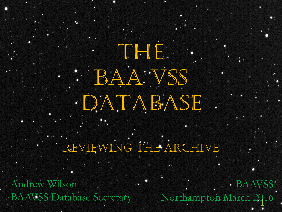## REVIEWING THE ARCHIVE

DATABASE

The ID.

BAA VSS

Andrew Wilson BAAVSS Database Secretary

BAAVSS Northampton March 2016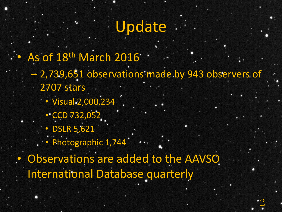## Update

As of 18th March 2016 .

– 2,739,651 observations made by 943 observers of 2707 stars

2

- Visual 2,000,234
	- $\cdot$  CCD 732,052
	- DSLR 5,621
- . · Photographic 1,744

• Observations are added to the AAVSO International Database quarterly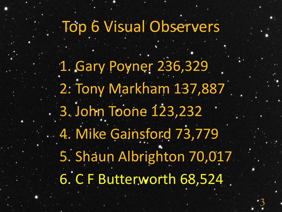Top 6 Visual Observers

1. Gary Poyner 236,329 2. Tony Markham 137,887 3. John Toone 123,232 4. Mike Gainsford 73,779 5. Shaun Albrighton 70,017 6. C F Butterworth 68,524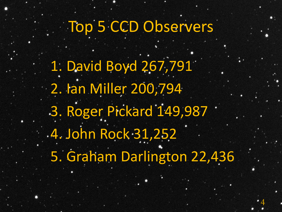## Top 5 CCD Observers

1. David Boyd 267,791 2. Ian Miller 200,794 3. Roger Pickard 149,987 4. John Rock 31,252 5. Graham Darlington 22,436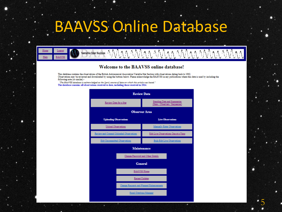## BAAVSS Online Database



#### Welcome to the BAAVSS online database!

This database contains the observations of the British Astronomical Association Variable Star Section with observations dating back to 1862. Observations may be reviewed and downloaded by using the buttons below. Please acknowledge the BAAVSS in any publications where this data is used by including the following note (or similar):-

"The BAAVSS database is acknowledged as the (part) source of data on which this article was based." The database contains all observations received to date, including those received in 2014.

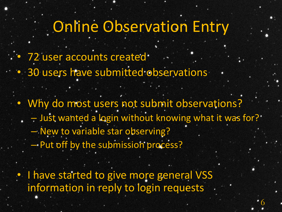## Online Observation Entry

- 72 user accounts created.
- 30 users have submitted observations
	- Why do most users not submit observations? - Just wanted a login without knowing what it was for? – New to variable star observing? – Put off by the submission process?

6

I have started to give more general VSS information in reply to login requests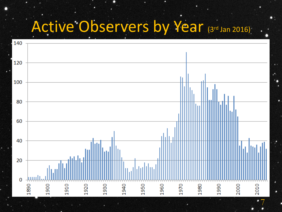# Active Observers by Year (3rd Jan 2016)

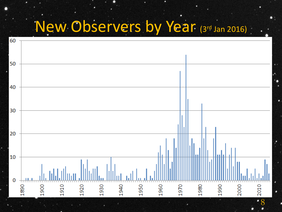# New Observers by Year (3rd Jan 2016)

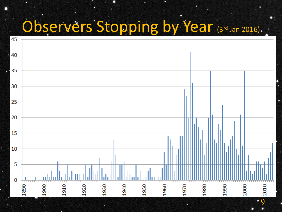# Observers Stopping by Year (3rd Jan 2016).

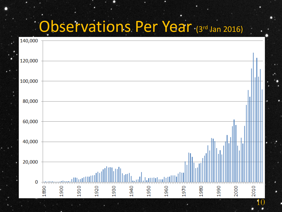## Observations Per Year (3rd Jan 2016)

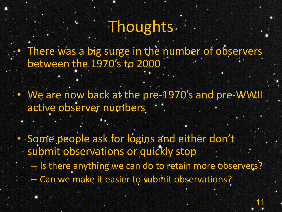# Thoughts.

There was a big surge in the number of observers between the 1970's to 2000

• We are now back at the pre-1970's and pre-WWII active observer numbers

• Some people ask for logins and either don't submit observations or quickly stop

– Is there anything we can do to retain more observers?

11

– Can we make it easier to submit observations?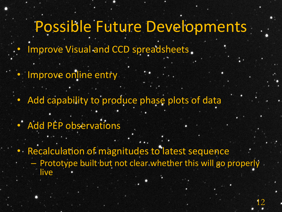### Possible Future Developments

- Improve Visual and CCD spreadsheets.
- Improve online entry
	- Add capability to produce phase plots of data
- Add PEP observations
- Recalculation of magnitudes to latest sequence - Prototype built but not clear whether this will go properly live